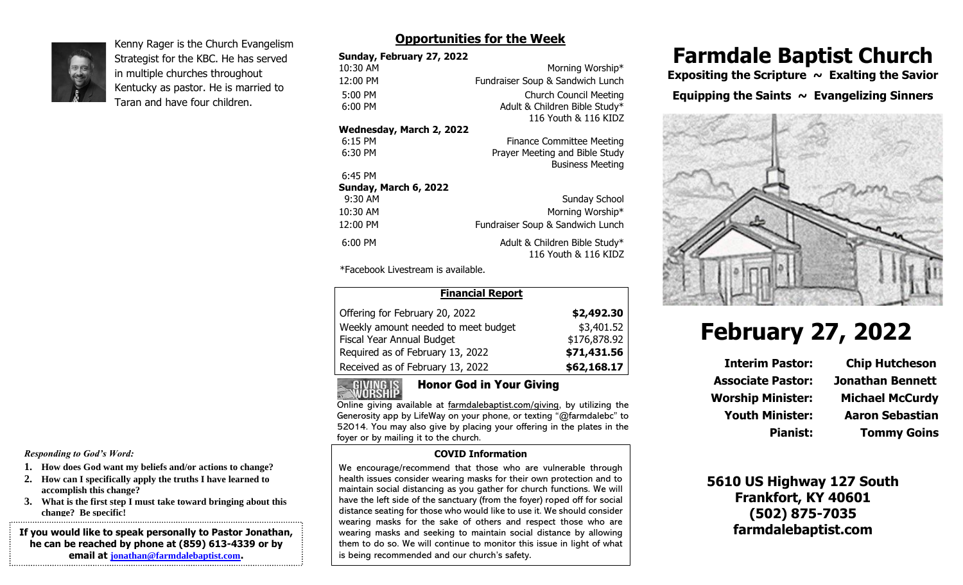

Kenny Rager is the Church Evangelism Strategist for the KBC. He has served in multiple churches throughout Kentucky as pastor. He is married to Taran and have four children.

### **Opportunities for the Week**

| Sunday, February 27, 2022 |                                  |
|---------------------------|----------------------------------|
| 10:30 AM                  | Morning Worship*                 |
| 12:00 PM                  | Fundraiser Soup & Sandwich Lunch |
| $5:00$ PM                 | <b>Church Council Meeting</b>    |
| $6:00$ PM                 | Adult & Children Bible Study*    |
|                           | 116 Youth & 116 KIDZ             |
| Wednesday, March 2, 2022  |                                  |
| $6:15$ PM                 | <b>Finance Committee Meeting</b> |
| 6:30 PM                   | Prayer Meeting and Bible Study   |
|                           | <b>Business Meeting</b>          |
| 6:45 PM                   |                                  |
| Sunday, March 6, 2022     |                                  |
| 9:30 AM                   | Sunday School                    |
| 10:30 AM                  | Morning Worship*                 |
| 12:00 PM                  | Fundraiser Soup & Sandwich Lunch |
| $6:00$ PM                 | Adult & Children Bible Study*    |
|                           | 116 Youth & 116 KIDZ             |
|                           |                                  |

\*Facebook Livestream is available.

| <b>Financial Report</b>             |              |
|-------------------------------------|--------------|
| Offering for February 20, 2022      | \$2,492.30   |
| Weekly amount needed to meet budget | \$3,401.52   |
| Fiscal Year Annual Budget           | \$176,878.92 |
| Required as of February 13, 2022    | \$71,431.56  |
| Received as of February 13, 2022    | \$62,168.17  |

# Honor God in Your Giving

Online giving available at farmdalebaptist.com/giving, by utilizing the Generosity app by LifeWay on your phone, or texting "@farmdalebc" to 52014. You may also give by placing your offering in the plates in the foyer or by mailing it to the church.

#### **COVID Information**

We encourage/recommend that those who are vulnerable through health issues consider wearing masks for their own protection and to maintain social distancing as you gather for church functions. We will have the left side of the sanctuary (from the foyer) roped off for social distance seating for those who would like to use it. We should consider wearing masks for the sake of others and respect those who are wearing masks and seeking to maintain social distance by allowing them to do so. We will continue to monitor this issue in light of what is being recommended and our church's safety.

# **Farmdale Baptist Church**

**Expositing the Scripture ~ Exalting the Savior** 

**Equipping the Saints ~ Evangelizing Sinners**



# **February 27, 2022**

**Interim Pastor: Chip Hutcheson Associate Pastor: Jonathan Bennett Worship Minister: Michael McCurdy**

**Youth Minister: Aaron Sebastian Pianist: Tommy Goins**

**5610 US Highway 127 South Frankfort, KY 40601 (502) 875-7035 farmdalebaptist.com**

*Responding to God's Word:*

- **1. How does God want my beliefs and/or actions to change?**
- **2. How can I specifically apply the truths I have learned to accomplish this change?**
- **3. What is the first step I must take toward bringing about this change? Be specific!**

**If you would like to speak personally to Pastor Jonathan, he can be reached by phone at (859) 613-4339 or by email at [jonathan@farmdalebaptist.com](mailto:jonathan@farmdalebaptist.com).**